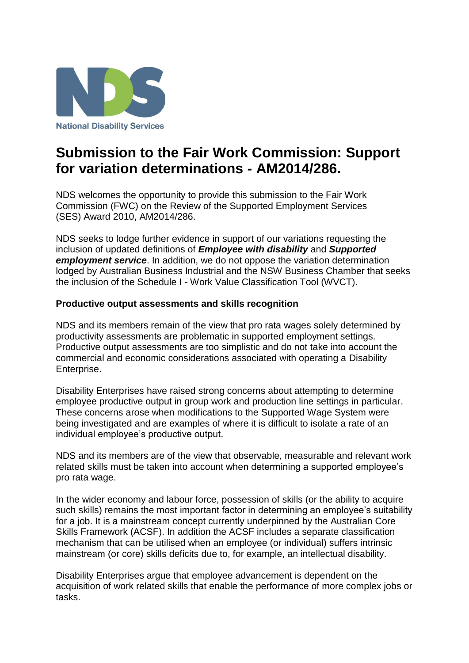

## **Submission to the Fair Work Commission: Support for variation determinations - AM2014/286.**

NDS welcomes the opportunity to provide this submission to the Fair Work Commission (FWC) on the Review of the Supported Employment Services (SES) Award 2010, AM2014/286.

NDS seeks to lodge further evidence in support of our variations requesting the inclusion of updated definitions of *Employee with disability* and *Supported employment service*. In addition, we do not oppose the variation determination lodged by Australian Business Industrial and the NSW Business Chamber that seeks the inclusion of the Schedule I - Work Value Classification Tool (WVCT).

## **Productive output assessments and skills recognition**

NDS and its members remain of the view that pro rata wages solely determined by productivity assessments are problematic in supported employment settings. Productive output assessments are too simplistic and do not take into account the commercial and economic considerations associated with operating a Disability Enterprise.

Disability Enterprises have raised strong concerns about attempting to determine employee productive output in group work and production line settings in particular. These concerns arose when modifications to the Supported Wage System were being investigated and are examples of where it is difficult to isolate a rate of an individual employee's productive output.

NDS and its members are of the view that observable, measurable and relevant work related skills must be taken into account when determining a supported employee's pro rata wage.

In the wider economy and labour force, possession of skills (or the ability to acquire such skills) remains the most important factor in determining an employee's suitability for a job. It is a mainstream concept currently underpinned by the Australian Core Skills Framework (ACSF). In addition the ACSF includes a separate classification mechanism that can be utilised when an employee (or individual) suffers intrinsic mainstream (or core) skills deficits due to, for example, an intellectual disability.

Disability Enterprises argue that employee advancement is dependent on the acquisition of work related skills that enable the performance of more complex jobs or tasks.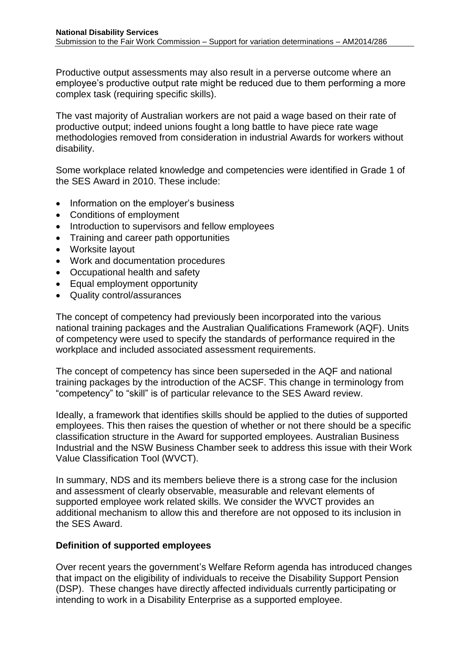Productive output assessments may also result in a perverse outcome where an employee's productive output rate might be reduced due to them performing a more complex task (requiring specific skills).

The vast majority of Australian workers are not paid a wage based on their rate of productive output; indeed unions fought a long battle to have piece rate wage methodologies removed from consideration in industrial Awards for workers without disability.

Some workplace related knowledge and competencies were identified in Grade 1 of the SES Award in 2010. These include:

- Information on the employer's business
- Conditions of employment
- Introduction to supervisors and fellow employees
- Training and career path opportunities
- Worksite layout
- Work and documentation procedures
- Occupational health and safety
- Equal employment opportunity
- Quality control/assurances

The concept of competency had previously been incorporated into the various national training packages and the Australian Qualifications Framework (AQF). Units of competency were used to specify the standards of performance required in the workplace and included associated assessment requirements.

The concept of competency has since been superseded in the AQF and national training packages by the introduction of the ACSF. This change in terminology from "competency" to "skill" is of particular relevance to the SES Award review.

Ideally, a framework that identifies skills should be applied to the duties of supported employees. This then raises the question of whether or not there should be a specific classification structure in the Award for supported employees. Australian Business Industrial and the NSW Business Chamber seek to address this issue with their Work Value Classification Tool (WVCT).

In summary, NDS and its members believe there is a strong case for the inclusion and assessment of clearly observable, measurable and relevant elements of supported employee work related skills. We consider the WVCT provides an additional mechanism to allow this and therefore are not opposed to its inclusion in the SES Award.

## **Definition of supported employees**

Over recent years the government's Welfare Reform agenda has introduced changes that impact on the eligibility of individuals to receive the Disability Support Pension (DSP). These changes have directly affected individuals currently participating or intending to work in a Disability Enterprise as a supported employee.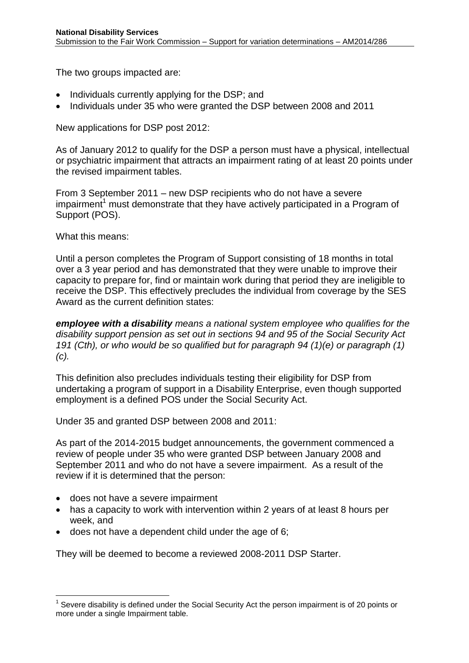The two groups impacted are:

- Individuals currently applying for the DSP; and
- Individuals under 35 who were granted the DSP between 2008 and 2011

New applications for DSP post 2012:

As of January 2012 to qualify for the DSP a person must have a physical, intellectual or psychiatric impairment that attracts an impairment rating of at least 20 points under the revised impairment tables.

From 3 September 2011 – new DSP recipients who do not have a severe  $impairment<sup>1</sup>$  must demonstrate that they have actively participated in a Program of Support (POS).

What this means:

Until a person completes the Program of Support consisting of 18 months in total over a 3 year period and has demonstrated that they were unable to improve their capacity to prepare for, find or maintain work during that period they are ineligible to receive the DSP. This effectively precludes the individual from coverage by the SES Award as the current definition states:

*employee with a disability means a national system employee who qualifies for the disability support pension as set out in sections 94 and 95 of the Social Security Act 191 (Cth), or who would be so qualified but for paragraph 94 (1)(e) or paragraph (1) (c).*

This definition also precludes individuals testing their eligibility for DSP from undertaking a program of support in a Disability Enterprise, even though supported employment is a defined POS under the Social Security Act.

Under 35 and granted DSP between 2008 and 2011:

As part of the 2014-2015 budget announcements, the government commenced a review of people under 35 who were granted DSP between January 2008 and September 2011 and who do not have a severe impairment. As a result of the review if it is determined that the person:

• does not have a severe impairment

 $\overline{a}$ 

- has a capacity to work with intervention within 2 years of at least 8 hours per week, and
- does not have a dependent child under the age of 6;

They will be deemed to become a reviewed 2008-2011 DSP Starter.

 $1$  Severe disability is defined under the Social Security Act the person impairment is of 20 points or more under a single Impairment table.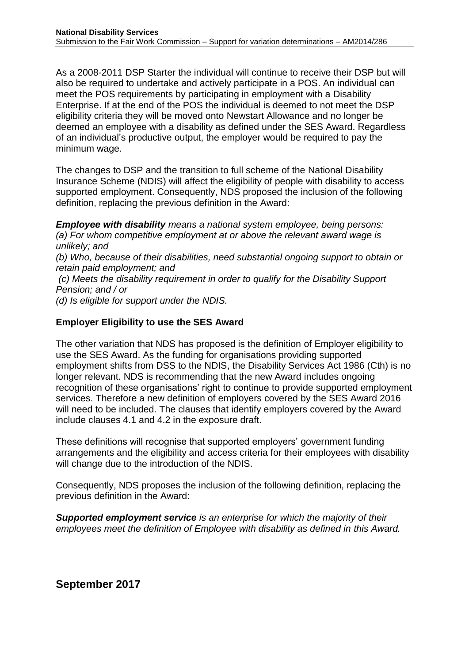As a 2008-2011 DSP Starter the individual will continue to receive their DSP but will also be required to undertake and actively participate in a POS. An individual can meet the POS requirements by participating in employment with a Disability Enterprise. If at the end of the POS the individual is deemed to not meet the DSP eligibility criteria they will be moved onto Newstart Allowance and no longer be deemed an employee with a disability as defined under the SES Award. Regardless of an individual's productive output, the employer would be required to pay the minimum wage.

The changes to DSP and the transition to full scheme of the National Disability Insurance Scheme (NDIS) will affect the eligibility of people with disability to access supported employment. Consequently, NDS proposed the inclusion of the following definition, replacing the previous definition in the Award:

*Employee with disability means a national system employee, being persons: (a) For whom competitive employment at or above the relevant award wage is unlikely; and (b) Who, because of their disabilities, need substantial ongoing support to obtain or retain paid employment; and (c) Meets the disability requirement in order to qualify for the Disability Support Pension; and / or (d) Is eligible for support under the NDIS.*

## **Employer Eligibility to use the SES Award**

The other variation that NDS has proposed is the definition of Employer eligibility to use the SES Award. As the funding for organisations providing supported employment shifts from DSS to the NDIS, the Disability Services Act 1986 (Cth) is no longer relevant. NDS is recommending that the new Award includes ongoing recognition of these organisations' right to continue to provide supported employment services. Therefore a new definition of employers covered by the SES Award 2016 will need to be included. The clauses that identify employers covered by the Award include clauses 4.1 and 4.2 in the exposure draft.

These definitions will recognise that supported employers' government funding arrangements and the eligibility and access criteria for their employees with disability will change due to the introduction of the NDIS.

Consequently, NDS proposes the inclusion of the following definition, replacing the previous definition in the Award:

*Supported employment service is an enterprise for which the majority of their employees meet the definition of Employee with disability as defined in this Award.*

**September 2017**